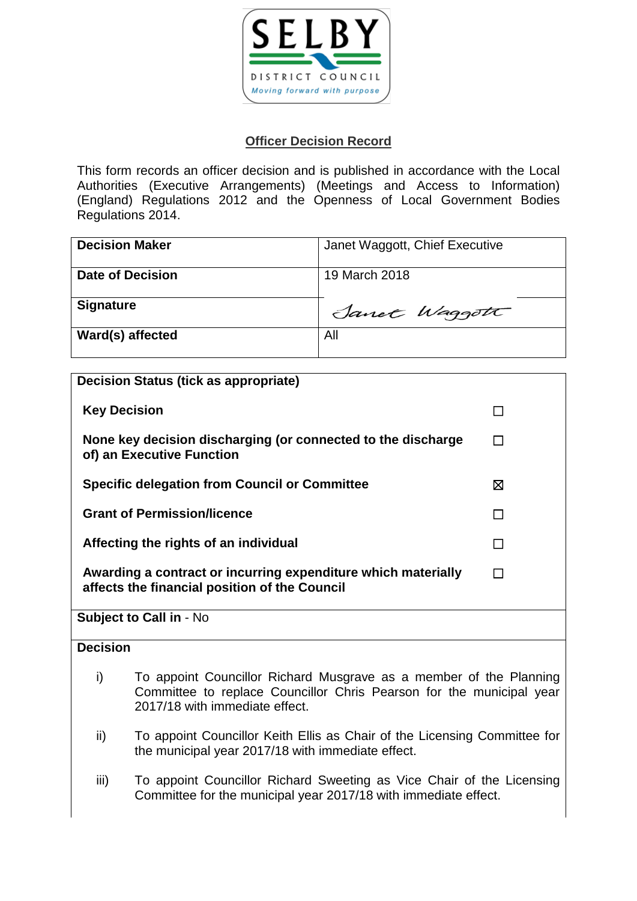

# **Officer Decision Record**

This form records an officer decision and is published in accordance with the Local Authorities (Executive Arrangements) (Meetings and Access to Information) (England) Regulations 2012 and the Openness of Local Government Bodies Regulations 2014.

| <b>Decision Maker</b>   | Janet Waggott, Chief Executive |
|-------------------------|--------------------------------|
| <b>Date of Decision</b> | 19 March 2018                  |
| <b>Signature</b>        | Sanct Waggott                  |
| Ward(s) affected        | All                            |

|                                                                                                                | <b>Decision Status (tick as appropriate)</b>                                                                                                                                 |        |
|----------------------------------------------------------------------------------------------------------------|------------------------------------------------------------------------------------------------------------------------------------------------------------------------------|--------|
|                                                                                                                | <b>Key Decision</b>                                                                                                                                                          |        |
|                                                                                                                | None key decision discharging (or connected to the discharge<br>of) an Executive Function                                                                                    |        |
|                                                                                                                | <b>Specific delegation from Council or Committee</b>                                                                                                                         | 区      |
| <b>Grant of Permission/licence</b>                                                                             |                                                                                                                                                                              |        |
| Affecting the rights of an individual                                                                          |                                                                                                                                                                              | $\Box$ |
| Awarding a contract or incurring expenditure which materially<br>affects the financial position of the Council |                                                                                                                                                                              |        |
| <b>Subject to Call in - No</b>                                                                                 |                                                                                                                                                                              |        |
| <b>Decision</b>                                                                                                |                                                                                                                                                                              |        |
| i)                                                                                                             | To appoint Councillor Richard Musgrave as a member of the Planning<br>Committee to replace Councillor Chris Pearson for the municipal year<br>2017/18 with immediate effect. |        |
| ii)                                                                                                            | To appoint Councillor Keith Ellis as Chair of the Licensing Committee for<br>the municipal year 2017/18 with immediate effect.                                               |        |

iii) To appoint Councillor Richard Sweeting as Vice Chair of the Licensing Committee for the municipal year 2017/18 with immediate effect.